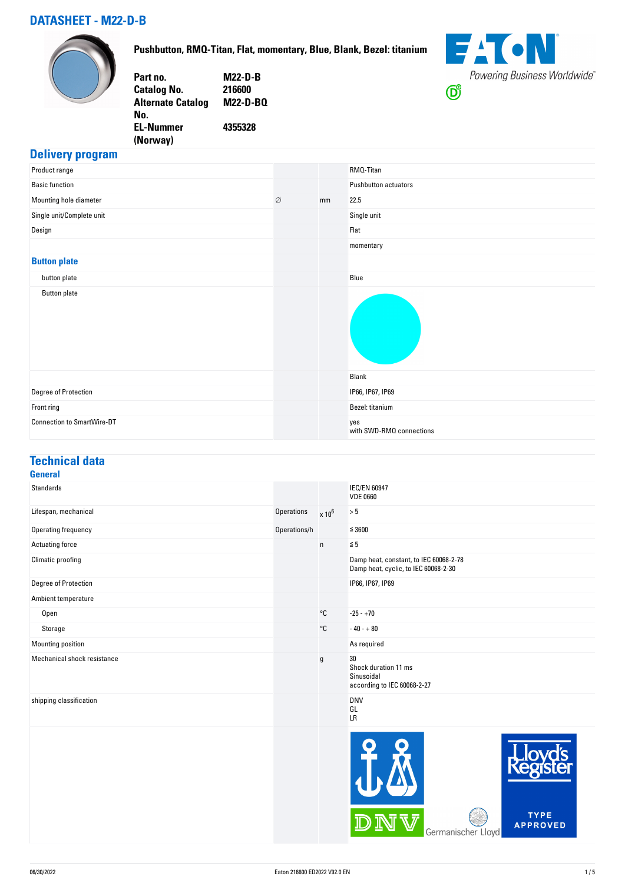### **DATASHEET - M22-D-B**

#### **Pushbutton, RMQ-Titan, Flat, momentary, Blue, Blank, Bezel: titanium**





#### **Delivery program**

| Product range                     |   |    | RMQ-Titan                       |
|-----------------------------------|---|----|---------------------------------|
| <b>Basic function</b>             |   |    | Pushbutton actuators            |
| Mounting hole diameter            | Ø | mm | 22.5                            |
| Single unit/Complete unit         |   |    | Single unit                     |
| Design                            |   |    | Flat                            |
|                                   |   |    | momentary                       |
| <b>Button plate</b>               |   |    |                                 |
| button plate                      |   |    | Blue                            |
| <b>Button plate</b>               |   |    |                                 |
|                                   |   |    | Blank                           |
| Degree of Protection              |   |    | IP66, IP67, IP69                |
| Front ring                        |   |    | Bezel: titanium                 |
| <b>Connection to SmartWire-DT</b> |   |    | yes<br>with SWD-RMQ connections |

### **Technical data**

| <b>General</b>              |              |               |                                                                                |
|-----------------------------|--------------|---------------|--------------------------------------------------------------------------------|
| <b>Standards</b>            |              |               | <b>IEC/EN 60947</b><br><b>VDE 0660</b>                                         |
| Lifespan, mechanical        | Operations   | $\times 10^6$ | $> 5$                                                                          |
| Operating frequency         | Operations/h |               | $\leq 3600$                                                                    |
| Actuating force             |              | $\mathsf{n}$  | $\leq 5$                                                                       |
| Climatic proofing           |              |               | Damp heat, constant, to IEC 60068-2-78<br>Damp heat, cyclic, to IEC 60068-2-30 |
| Degree of Protection        |              |               | IP66, IP67, IP69                                                               |
| Ambient temperature         |              |               |                                                                                |
| Open                        |              | °C            | $-25 - +70$                                                                    |
| Storage                     |              | °C            | $-40 - +80$                                                                    |
| Mounting position           |              |               | As required                                                                    |
| Mechanical shock resistance |              | $\mathsf g$   | 30<br>Shock duration 11 ms<br>Sinusoidal<br>according to IEC 60068-2-27        |
| shipping classification     |              |               | <b>DNV</b><br>GL<br>LR                                                         |
|                             |              |               |                                                                                |

DNV

TYPE<br>APPROVED

Germanischer Lloyd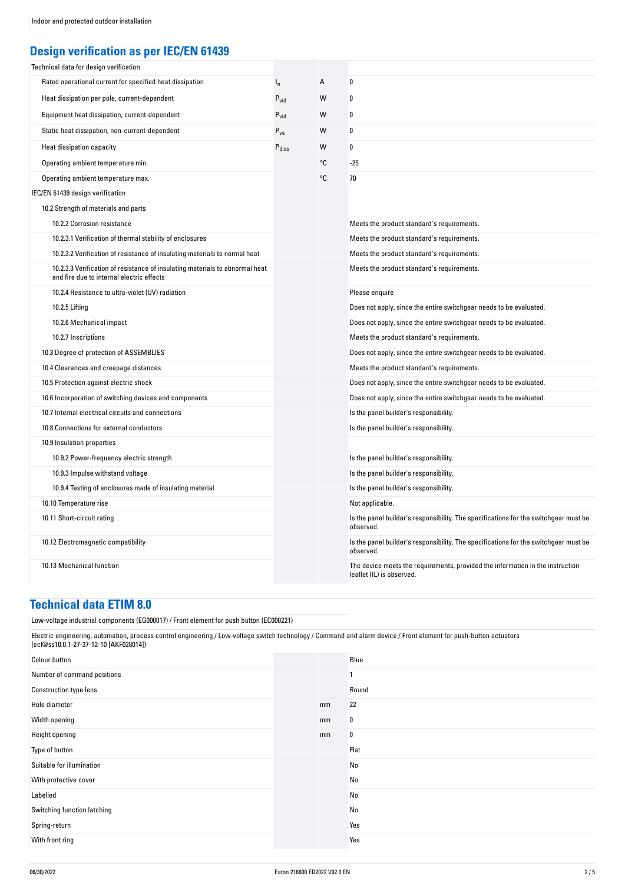### **Design verification as per IEC/EN 61439**

| Technical data for design verification                                                                                    |                            |    |                                                                                                             |
|---------------------------------------------------------------------------------------------------------------------------|----------------------------|----|-------------------------------------------------------------------------------------------------------------|
| Rated operational current for specified heat dissipation                                                                  | $I_n$                      | А  | $\bf{0}$                                                                                                    |
| Heat dissipation per pole, current-dependent                                                                              | $P_{vid}$                  | W  | 0                                                                                                           |
| Equipment heat dissipation, current-dependent                                                                             | $P_{vid}$                  | W  | 0                                                                                                           |
| Static heat dissipation, non-current-dependent                                                                            | $\mathsf{P}_{\mathsf{VS}}$ | W  | $\bf{0}$                                                                                                    |
| Heat dissipation capacity                                                                                                 | Pdiss                      | W  | $\bf{0}$                                                                                                    |
| Operating ambient temperature min.                                                                                        |                            | °C | $-25$                                                                                                       |
| Operating ambient temperature max.                                                                                        |                            | °C | 70                                                                                                          |
| IEC/EN 61439 design verification                                                                                          |                            |    |                                                                                                             |
| 10.2 Strength of materials and parts                                                                                      |                            |    |                                                                                                             |
| 10.2.2 Corrosion resistance                                                                                               |                            |    | Meets the product standard's requirements.                                                                  |
| 10.2.3.1 Verification of thermal stability of enclosures                                                                  |                            |    | Meets the product standard's requirements.                                                                  |
| 10.2.3.2 Verification of resistance of insulating materials to normal heat                                                |                            |    | Meets the product standard's requirements.                                                                  |
| 10.2.3.3 Verification of resistance of insulating materials to abnormal heat<br>and fire due to internal electric effects |                            |    | Meets the product standard's requirements.                                                                  |
| 10.2.4 Resistance to ultra-violet (UV) radiation                                                                          |                            |    | Please enquire                                                                                              |
| 10.2.5 Lifting                                                                                                            |                            |    | Does not apply, since the entire switchgear needs to be evaluated.                                          |
| 10.2.6 Mechanical impact                                                                                                  |                            |    | Does not apply, since the entire switchgear needs to be evaluated.                                          |
| 10.2.7 Inscriptions                                                                                                       |                            |    | Meets the product standard's requirements.                                                                  |
| 10.3 Degree of protection of ASSEMBLIES                                                                                   |                            |    | Does not apply, since the entire switchgear needs to be evaluated.                                          |
| 10.4 Clearances and creepage distances                                                                                    |                            |    | Meets the product standard's requirements.                                                                  |
| 10.5 Protection against electric shock                                                                                    |                            |    | Does not apply, since the entire switchgear needs to be evaluated.                                          |
| 10.6 Incorporation of switching devices and components                                                                    |                            |    | Does not apply, since the entire switchgear needs to be evaluated.                                          |
| 10.7 Internal electrical circuits and connections                                                                         |                            |    | Is the panel builder's responsibility.                                                                      |
| 10.8 Connections for external conductors                                                                                  |                            |    | Is the panel builder's responsibility.                                                                      |
| 10.9 Insulation properties                                                                                                |                            |    |                                                                                                             |
| 10.9.2 Power-frequency electric strength                                                                                  |                            |    | Is the panel builder's responsibility.                                                                      |
| 10.9.3 Impulse withstand voltage                                                                                          |                            |    | Is the panel builder's responsibility.                                                                      |
| 10.9.4 Testing of enclosures made of insulating material                                                                  |                            |    | Is the panel builder's responsibility.                                                                      |
| 10.10 Temperature rise                                                                                                    |                            |    | Not applicable.                                                                                             |
| 10.11 Short-circuit rating                                                                                                |                            |    | Is the panel builder's responsibility. The specifications for the switchgear must be<br>observed.           |
| 10.12 Electromagnetic compatibility                                                                                       |                            |    | Is the panel builder's responsibility. The specifications for the switchgear must be<br>observed.           |
| 10.13 Mechanical function                                                                                                 |                            |    | The device meets the requirements, provided the information in the instruction<br>leaflet (IL) is observed. |

#### **Technical data ETIM 8.0**

Low-voltage industrial components (EG000017) / Front element for push button (EC000221)

| Electric engineering, automation, process control engineering / Low-voltage switch technology / Command and alarm device / Front element for push-button actuators<br>(ecl@ss10.0.1-27-37-12-10 [AKF028014]) |  |    |       |
|--------------------------------------------------------------------------------------------------------------------------------------------------------------------------------------------------------------|--|----|-------|
| Colour button                                                                                                                                                                                                |  |    | Blue  |
| Number of command positions                                                                                                                                                                                  |  |    |       |
| <b>Construction type lens</b>                                                                                                                                                                                |  |    | Round |
| Hole diameter                                                                                                                                                                                                |  | mm | 22    |
| Width opening                                                                                                                                                                                                |  | mm | 0     |
| Height opening                                                                                                                                                                                               |  | mm | 0     |
| Type of button                                                                                                                                                                                               |  |    | Flat  |
| Suitable for illumination                                                                                                                                                                                    |  |    | No    |
| With protective cover                                                                                                                                                                                        |  |    | No    |
| Labelled                                                                                                                                                                                                     |  |    | No    |
| Switching function latching                                                                                                                                                                                  |  |    | No    |
| Spring-return                                                                                                                                                                                                |  |    | Yes   |
| With front ring                                                                                                                                                                                              |  |    | Yes   |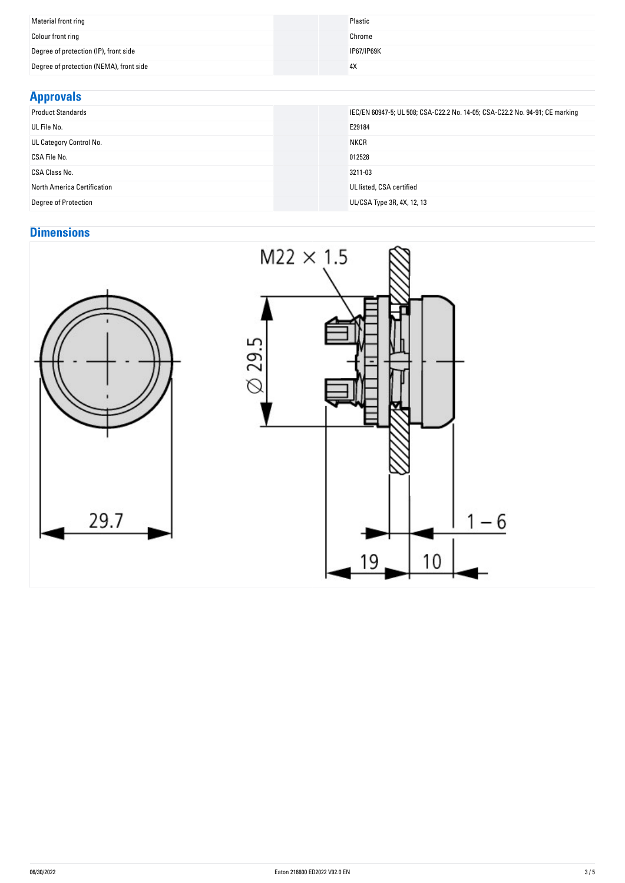| Material front ring                     | Plastic    |
|-----------------------------------------|------------|
| Colour front ring                       | Chrome     |
| Degree of protection (IP), front side   | IP67/IP69K |
| Degree of protection (NEMA), front side | 4X         |
|                                         |            |

## **Approvals**

| .                           |                                                                              |
|-----------------------------|------------------------------------------------------------------------------|
| <b>Product Standards</b>    | IEC/EN 60947-5; UL 508; CSA-C22.2 No. 14-05; CSA-C22.2 No. 94-91; CE marking |
| UL File No.                 | E29184                                                                       |
| UL Category Control No.     | <b>NKCR</b>                                                                  |
| CSA File No.                | 012528                                                                       |
| CSA Class No.               | 3211-03                                                                      |
| North America Certification | UL listed, CSA certified                                                     |
| <b>Degree of Protection</b> | UL/CSA Type 3R, 4X, 12, 13                                                   |

# **Dimensions**

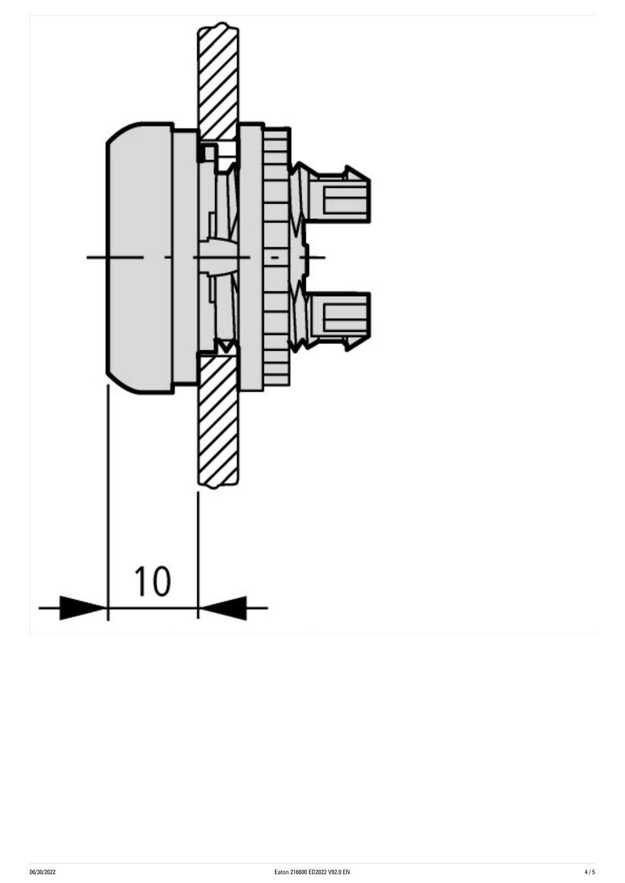